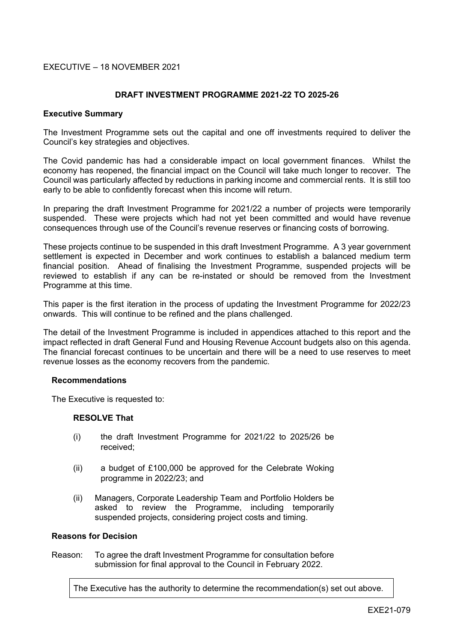## EXECUTIVE – 18 NOVEMBER 2021

## **DRAFT INVESTMENT PROGRAMME 2021-22 TO 2025-26**

#### **Executive Summary**

The Investment Programme sets out the capital and one off investments required to deliver the Council's key strategies and objectives.

The Covid pandemic has had a considerable impact on local government finances. Whilst the economy has reopened, the financial impact on the Council will take much longer to recover. The Council was particularly affected by reductions in parking income and commercial rents. It is still too early to be able to confidently forecast when this income will return.

In preparing the draft Investment Programme for 2021/22 a number of projects were temporarily suspended. These were projects which had not yet been committed and would have revenue consequences through use of the Council's revenue reserves or financing costs of borrowing.

These projects continue to be suspended in this draft Investment Programme. A 3 year government settlement is expected in December and work continues to establish a balanced medium term financial position. Ahead of finalising the Investment Programme, suspended projects will be reviewed to establish if any can be re-instated or should be removed from the Investment Programme at this time.

This paper is the first iteration in the process of updating the Investment Programme for 2022/23 onwards. This will continue to be refined and the plans challenged.

The detail of the Investment Programme is included in appendices attached to this report and the impact reflected in draft General Fund and Housing Revenue Account budgets also on this agenda. The financial forecast continues to be uncertain and there will be a need to use reserves to meet revenue losses as the economy recovers from the pandemic.

#### **Recommendations**

The Executive is requested to:

#### **RESOLVE That**

- (i) the draft Investment Programme for 2021/22 to 2025/26 be received;
- (ii) a budget of £100,000 be approved for the Celebrate Woking programme in 2022/23; and
- (ii) Managers, Corporate Leadership Team and Portfolio Holders be asked to review the Programme, including temporarily suspended projects, considering project costs and timing.

#### **Reasons for Decision**

Reason: To agree the draft Investment Programme for consultation before submission for final approval to the Council in February 2022.

The Executive has the authority to determine the recommendation(s) set out above.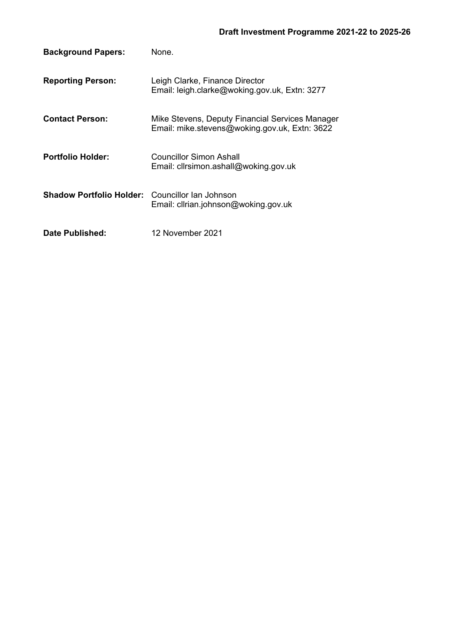| <b>Background Papers:</b>                              | None.                                                                                            |
|--------------------------------------------------------|--------------------------------------------------------------------------------------------------|
| <b>Reporting Person:</b>                               | Leigh Clarke, Finance Director<br>Email: leigh.clarke@woking.gov.uk, Extn: 3277                  |
| <b>Contact Person:</b>                                 | Mike Stevens, Deputy Financial Services Manager<br>Email: mike.stevens@woking.gov.uk, Extn: 3622 |
| <b>Portfolio Holder:</b>                               | Councillor Simon Ashall<br>Email: cllrsimon.ashall@woking.gov.uk                                 |
| <b>Shadow Portfolio Holder:</b> Councillor Ian Johnson | Email: clirian.johnson@woking.gov.uk                                                             |
| Date Published:                                        | 12 November 2021                                                                                 |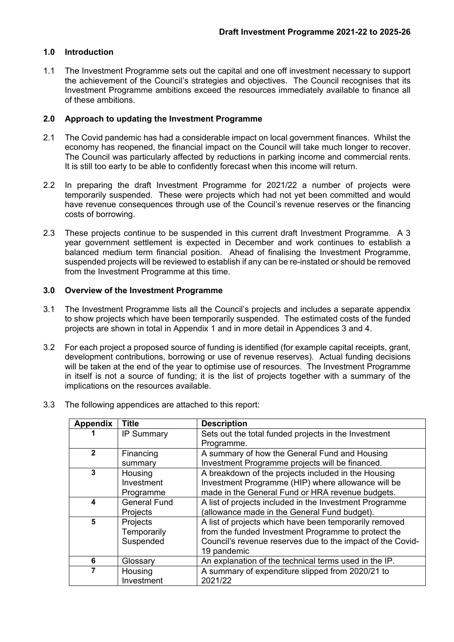## **1.0 Introduction**

1.1 The Investment Programme sets out the capital and one off investment necessary to support the achievement of the Council's strategies and objectives. The Council recognises that its Investment Programme ambitions exceed the resources immediately available to finance all of these ambitions.

## **2.0 Approach to updating the Investment Programme**

- 2.1 The Covid pandemic has had a considerable impact on local government finances. Whilst the economy has reopened, the financial impact on the Council will take much longer to recover. The Council was particularly affected by reductions in parking income and commercial rents. It is still too early to be able to confidently forecast when this income will return.
- 2.2 In preparing the draft Investment Programme for 2021/22 a number of projects were temporarily suspended. These were projects which had not yet been committed and would have revenue consequences through use of the Council's revenue reserves or the financing costs of borrowing.
- 2.3 These projects continue to be suspended in this current draft Investment Programme. A 3 year government settlement is expected in December and work continues to establish a balanced medium term financial position. Ahead of finalising the Investment Programme, suspended projects will be reviewed to establish if any can be re-instated or should be removed from the Investment Programme at this time.

# **3.0 Overview of the Investment Programme**

- 3.1 The Investment Programme lists all the Council's projects and includes a separate appendix to show projects which have been temporarily suspended. The estimated costs of the funded projects are shown in total in Appendix 1 and in more detail in Appendices 3 and 4.
- 3.2 For each project a proposed source of funding is identified (for example capital receipts, grant, development contributions, borrowing or use of revenue reserves). Actual funding decisions will be taken at the end of the year to optimise use of resources. The Investment Programme in itself is not a source of funding; it is the list of projects together with a summary of the implications on the resources available.
- 3.3 The following appendices are attached to this report:

| <b>Appendix</b> | Title               | <b>Description</b>                                         |
|-----------------|---------------------|------------------------------------------------------------|
|                 | <b>IP Summary</b>   | Sets out the total funded projects in the Investment       |
|                 |                     | Programme.                                                 |
| $\overline{2}$  | Financing           | A summary of how the General Fund and Housing              |
|                 | summary             | Investment Programme projects will be financed.            |
| 3               | Housing             | A breakdown of the projects included in the Housing        |
|                 | Investment          | Investment Programme (HIP) where allowance will be         |
|                 | Programme           | made in the General Fund or HRA revenue budgets.           |
| 4               | <b>General Fund</b> | A list of projects included in the Investment Programme    |
|                 | Projects            | (allowance made in the General Fund budget).               |
| 5               | Projects            | A list of projects which have been temporarily removed     |
|                 | Temporarily         | from the funded Investment Programme to protect the        |
|                 | Suspended           | Council's revenue reserves due to the impact of the Covid- |
|                 |                     | 19 pandemic                                                |
| 6               | Glossary            | An explanation of the technical terms used in the IP.      |
|                 | Housing             | A summary of expenditure slipped from 2020/21 to           |
|                 | Investment          | 2021/22                                                    |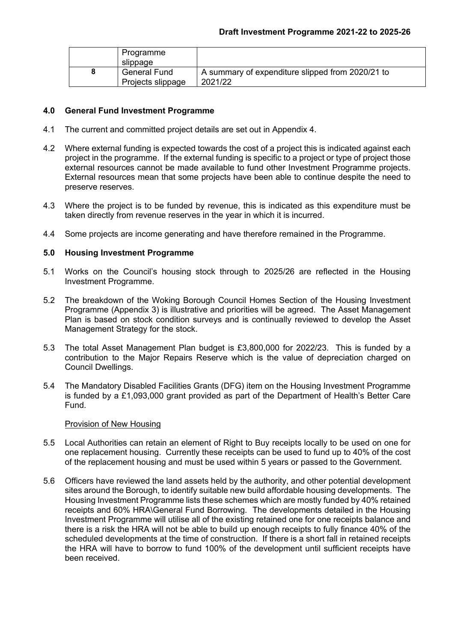| Programme           |                                                  |
|---------------------|--------------------------------------------------|
| slippage            |                                                  |
| <b>General Fund</b> | A summary of expenditure slipped from 2020/21 to |
| Projects slippage   | 2021/22                                          |

## **4.0 General Fund Investment Programme**

- 4.1 The current and committed project details are set out in Appendix 4.
- 4.2 Where external funding is expected towards the cost of a project this is indicated against each project in the programme. If the external funding is specific to a project or type of project those external resources cannot be made available to fund other Investment Programme projects. External resources mean that some projects have been able to continue despite the need to preserve reserves.
- 4.3 Where the project is to be funded by revenue, this is indicated as this expenditure must be taken directly from revenue reserves in the year in which it is incurred.
- 4.4 Some projects are income generating and have therefore remained in the Programme.

## **5.0 Housing Investment Programme**

- 5.1 Works on the Council's housing stock through to 2025/26 are reflected in the Housing Investment Programme.
- 5.2 The breakdown of the Woking Borough Council Homes Section of the Housing Investment Programme (Appendix 3) is illustrative and priorities will be agreed. The Asset Management Plan is based on stock condition surveys and is continually reviewed to develop the Asset Management Strategy for the stock.
- 5.3 The total Asset Management Plan budget is £3,800,000 for 2022/23. This is funded by a contribution to the Major Repairs Reserve which is the value of depreciation charged on Council Dwellings.
- 5.4 The Mandatory Disabled Facilities Grants (DFG) item on the Housing Investment Programme is funded by a £1,093,000 grant provided as part of the Department of Health's Better Care Fund.

### Provision of New Housing

- 5.5 Local Authorities can retain an element of Right to Buy receipts locally to be used on one for one replacement housing. Currently these receipts can be used to fund up to 40% of the cost of the replacement housing and must be used within 5 years or passed to the Government.
- 5.6 Officers have reviewed the land assets held by the authority, and other potential development sites around the Borough, to identify suitable new build affordable housing developments. The Housing Investment Programme lists these schemes which are mostly funded by 40% retained receipts and 60% HRA\General Fund Borrowing. The developments detailed in the Housing Investment Programme will utilise all of the existing retained one for one receipts balance and there is a risk the HRA will not be able to build up enough receipts to fully finance 40% of the scheduled developments at the time of construction. If there is a short fall in retained receipts the HRA will have to borrow to fund 100% of the development until sufficient receipts have been received.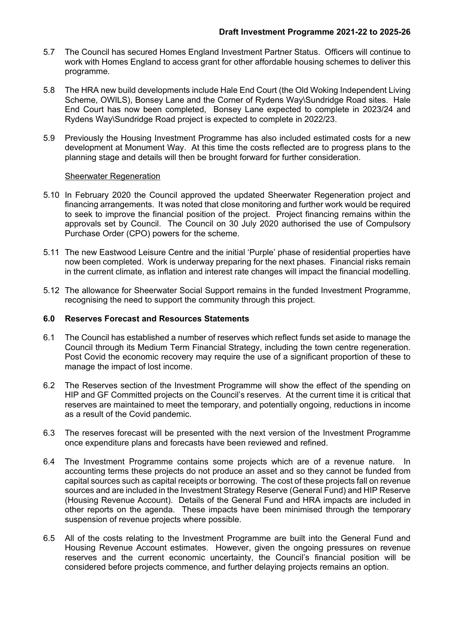- 5.7 The Council has secured Homes England Investment Partner Status. Officers will continue to work with Homes England to access grant for other affordable housing schemes to deliver this programme.
- 5.8 The HRA new build developments include Hale End Court (the Old Woking Independent Living Scheme, OWILS), Bonsey Lane and the Corner of Rydens Way\Sundridge Road sites. Hale End Court has now been completed, Bonsey Lane expected to complete in 2023/24 and Rydens Way\Sundridge Road project is expected to complete in 2022/23.
- 5.9 Previously the Housing Investment Programme has also included estimated costs for a new development at Monument Way. At this time the costs reflected are to progress plans to the planning stage and details will then be brought forward for further consideration.

# Sheerwater Regeneration

- 5.10 In February 2020 the Council approved the updated Sheerwater Regeneration project and financing arrangements. It was noted that close monitoring and further work would be required to seek to improve the financial position of the project. Project financing remains within the approvals set by Council. The Council on 30 July 2020 authorised the use of Compulsory Purchase Order (CPO) powers for the scheme.
- 5.11 The new Eastwood Leisure Centre and the initial 'Purple' phase of residential properties have now been completed. Work is underway preparing for the next phases. Financial risks remain in the current climate, as inflation and interest rate changes will impact the financial modelling.
- 5.12 The allowance for Sheerwater Social Support remains in the funded Investment Programme, recognising the need to support the community through this project.

# **6.0 Reserves Forecast and Resources Statements**

- 6.1 The Council has established a number of reserves which reflect funds set aside to manage the Council through its Medium Term Financial Strategy, including the town centre regeneration. Post Covid the economic recovery may require the use of a significant proportion of these to manage the impact of lost income.
- 6.2 The Reserves section of the Investment Programme will show the effect of the spending on HIP and GF Committed projects on the Council's reserves. At the current time it is critical that reserves are maintained to meet the temporary, and potentially ongoing, reductions in income as a result of the Covid pandemic.
- 6.3 The reserves forecast will be presented with the next version of the Investment Programme once expenditure plans and forecasts have been reviewed and refined.
- 6.4 The Investment Programme contains some projects which are of a revenue nature. In accounting terms these projects do not produce an asset and so they cannot be funded from capital sources such as capital receipts or borrowing. The cost of these projects fall on revenue sources and are included in the Investment Strategy Reserve (General Fund) and HIP Reserve (Housing Revenue Account). Details of the General Fund and HRA impacts are included in other reports on the agenda. These impacts have been minimised through the temporary suspension of revenue projects where possible.
- 6.5 All of the costs relating to the Investment Programme are built into the General Fund and Housing Revenue Account estimates. However, given the ongoing pressures on revenue reserves and the current economic uncertainty, the Council's financial position will be considered before projects commence, and further delaying projects remains an option.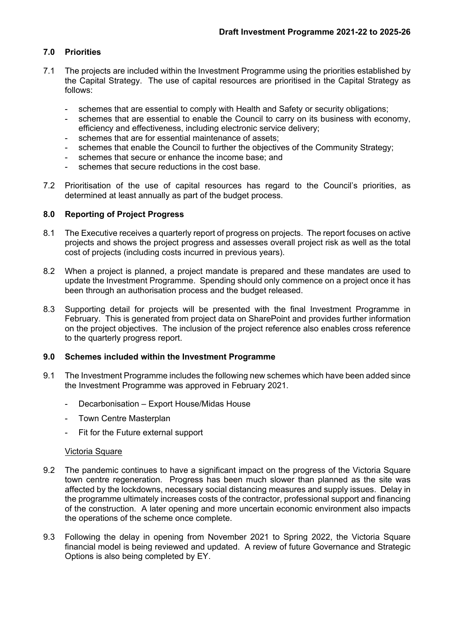# **7.0 Priorities**

- 7.1 The projects are included within the Investment Programme using the priorities established by the Capital Strategy. The use of capital resources are prioritised in the Capital Strategy as follows:
	- schemes that are essential to comply with Health and Safety or security obligations;
	- schemes that are essential to enable the Council to carry on its business with economy, efficiency and effectiveness, including electronic service delivery;
	- schemes that are for essential maintenance of assets:
	- schemes that enable the Council to further the objectives of the Community Strategy;
	- schemes that secure or enhance the income base; and
	- schemes that secure reductions in the cost base.
- 7.2 Prioritisation of the use of capital resources has regard to the Council's priorities, as determined at least annually as part of the budget process.

## **8.0 Reporting of Project Progress**

- 8.1 The Executive receives a quarterly report of progress on projects. The report focuses on active projects and shows the project progress and assesses overall project risk as well as the total cost of projects (including costs incurred in previous years).
- 8.2 When a project is planned, a project mandate is prepared and these mandates are used to update the Investment Programme. Spending should only commence on a project once it has been through an authorisation process and the budget released.
- 8.3 Supporting detail for projects will be presented with the final Investment Programme in February. This is generated from project data on SharePoint and provides further information on the project objectives. The inclusion of the project reference also enables cross reference to the quarterly progress report.

#### **9.0 Schemes included within the Investment Programme**

- 9.1 The Investment Programme includes the following new schemes which have been added since the Investment Programme was approved in February 2021.
	- Decarbonisation Export House/Midas House
	- Town Centre Masterplan
	- Fit for the Future external support

#### Victoria Square

- 9.2 The pandemic continues to have a significant impact on the progress of the Victoria Square town centre regeneration. Progress has been much slower than planned as the site was affected by the lockdowns, necessary social distancing measures and supply issues. Delay in the programme ultimately increases costs of the contractor, professional support and financing of the construction. A later opening and more uncertain economic environment also impacts the operations of the scheme once complete.
- 9.3 Following the delay in opening from November 2021 to Spring 2022, the Victoria Square financial model is being reviewed and updated. A review of future Governance and Strategic Options is also being completed by EY.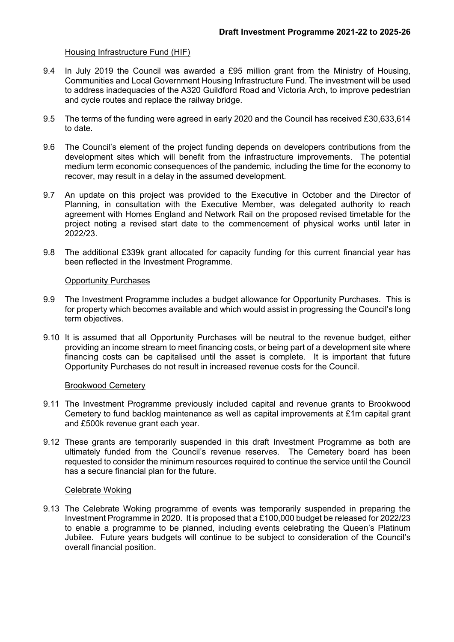### Housing Infrastructure Fund (HIF)

- 9.4 In July 2019 the Council was awarded a £95 million grant from the Ministry of Housing, Communities and Local Government Housing Infrastructure Fund. The investment will be used to address inadequacies of the A320 Guildford Road and Victoria Arch, to improve pedestrian and cycle routes and replace the railway bridge.
- 9.5 The terms of the funding were agreed in early 2020 and the Council has received £30,633,614 to date.
- 9.6 The Council's element of the project funding depends on developers contributions from the development sites which will benefit from the infrastructure improvements. The potential medium term economic consequences of the pandemic, including the time for the economy to recover, may result in a delay in the assumed development.
- 9.7 An update on this project was provided to the Executive in October and the Director of Planning, in consultation with the Executive Member, was delegated authority to reach agreement with Homes England and Network Rail on the proposed revised timetable for the project noting a revised start date to the commencement of physical works until later in 2022/23.
- 9.8 The additional £339k grant allocated for capacity funding for this current financial year has been reflected in the Investment Programme.

#### Opportunity Purchases

- 9.9 The Investment Programme includes a budget allowance for Opportunity Purchases. This is for property which becomes available and which would assist in progressing the Council's long term objectives.
- 9.10 It is assumed that all Opportunity Purchases will be neutral to the revenue budget, either providing an income stream to meet financing costs, or being part of a development site where financing costs can be capitalised until the asset is complete. It is important that future Opportunity Purchases do not result in increased revenue costs for the Council.

#### Brookwood Cemetery

- 9.11 The Investment Programme previously included capital and revenue grants to Brookwood Cemetery to fund backlog maintenance as well as capital improvements at £1m capital grant and £500k revenue grant each year.
- 9.12 These grants are temporarily suspended in this draft Investment Programme as both are ultimately funded from the Council's revenue reserves. The Cemetery board has been requested to consider the minimum resources required to continue the service until the Council has a secure financial plan for the future.

#### Celebrate Woking

9.13 The Celebrate Woking programme of events was temporarily suspended in preparing the Investment Programme in 2020. It is proposed that a £100,000 budget be released for 2022/23 to enable a programme to be planned, including events celebrating the Queen's Platinum Jubilee. Future years budgets will continue to be subject to consideration of the Council's overall financial position.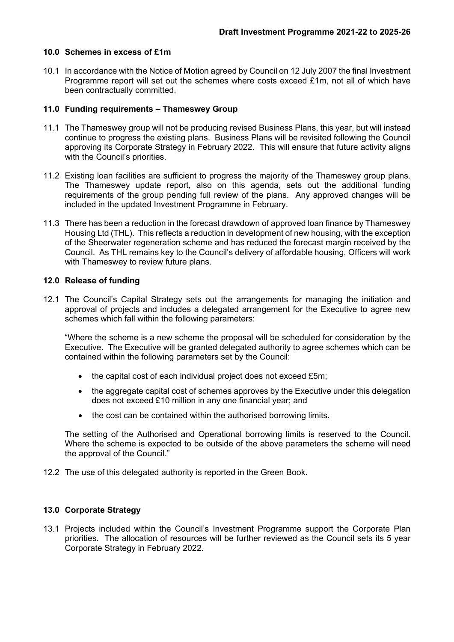### **10.0 Schemes in excess of £1m**

10.1 In accordance with the Notice of Motion agreed by Council on 12 July 2007 the final Investment Programme report will set out the schemes where costs exceed £1m, not all of which have been contractually committed.

## **11.0 Funding requirements – Thameswey Group**

- 11.1 The Thameswey group will not be producing revised Business Plans, this year, but will instead continue to progress the existing plans. Business Plans will be revisited following the Council approving its Corporate Strategy in February 2022. This will ensure that future activity aligns with the Council's priorities.
- 11.2 Existing loan facilities are sufficient to progress the majority of the Thameswey group plans. The Thameswey update report, also on this agenda, sets out the additional funding requirements of the group pending full review of the plans. Any approved changes will be included in the updated Investment Programme in February.
- 11.3 There has been a reduction in the forecast drawdown of approved loan finance by Thameswey Housing Ltd (THL). This reflects a reduction in development of new housing, with the exception of the Sheerwater regeneration scheme and has reduced the forecast margin received by the Council. As THL remains key to the Council's delivery of affordable housing, Officers will work with Thameswey to review future plans.

## **12.0 Release of funding**

12.1 The Council's Capital Strategy sets out the arrangements for managing the initiation and approval of projects and includes a delegated arrangement for the Executive to agree new schemes which fall within the following parameters:

"Where the scheme is a new scheme the proposal will be scheduled for consideration by the Executive. The Executive will be granted delegated authority to agree schemes which can be contained within the following parameters set by the Council:

- the capital cost of each individual project does not exceed £5m;
- the aggregate capital cost of schemes approves by the Executive under this delegation does not exceed £10 million in any one financial year; and
- the cost can be contained within the authorised borrowing limits.

The setting of the Authorised and Operational borrowing limits is reserved to the Council. Where the scheme is expected to be outside of the above parameters the scheme will need the approval of the Council."

12.2 The use of this delegated authority is reported in the Green Book.

## **13.0 Corporate Strategy**

13.1 Projects included within the Council's Investment Programme support the Corporate Plan priorities. The allocation of resources will be further reviewed as the Council sets its 5 year Corporate Strategy in February 2022.